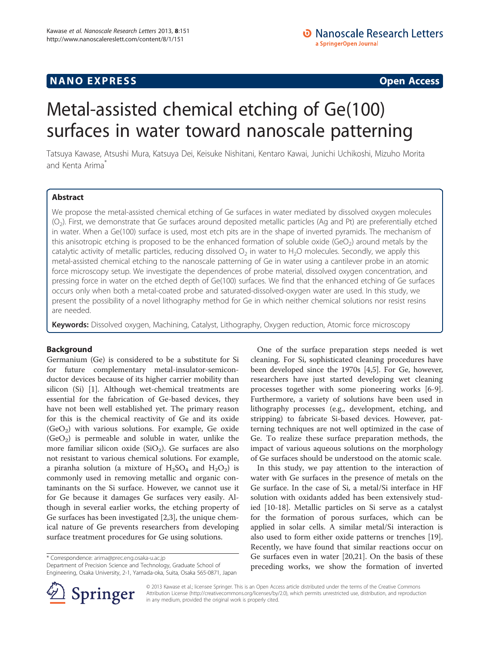## <span id="page-0-0"></span>**NANO EXPRESS** Open Access and the set of the set of the set of the set of the set of the set of the set of the set of the set of the set of the set of the set of the set of the set of the set of the set of the set of the

# Metal-assisted chemical etching of Ge(100) surfaces in water toward nanoscale patterning

Tatsuya Kawase, Atsushi Mura, Katsuya Dei, Keisuke Nishitani, Kentaro Kawai, Junichi Uchikoshi, Mizuho Morita and Kenta Arima<sup>\*</sup>

## Abstract

We propose the metal-assisted chemical etching of Ge surfaces in water mediated by dissolved oxygen molecules (O2). First, we demonstrate that Ge surfaces around deposited metallic particles (Ag and Pt) are preferentially etched in water. When a Ge(100) surface is used, most etch pits are in the shape of inverted pyramids. The mechanism of this anisotropic etching is proposed to be the enhanced formation of soluble oxide (GeO<sub>2</sub>) around metals by the catalytic activity of metallic particles, reducing dissolved  $O<sub>2</sub>$  in water to H<sub>2</sub>O molecules. Secondly, we apply this metal-assisted chemical etching to the nanoscale patterning of Ge in water using a cantilever probe in an atomic force microscopy setup. We investigate the dependences of probe material, dissolved oxygen concentration, and pressing force in water on the etched depth of Ge(100) surfaces. We find that the enhanced etching of Ge surfaces occurs only when both a metal-coated probe and saturated-dissolved-oxygen water are used. In this study, we present the possibility of a novel lithography method for Ge in which neither chemical solutions nor resist resins are needed.

Keywords: Dissolved oxygen, Machining, Catalyst, Lithography, Oxygen reduction, Atomic force microscopy

## Background

Germanium (Ge) is considered to be a substitute for Si for future complementary metal-insulator-semiconductor devices because of its higher carrier mobility than silicon (Si) [[1\]](#page-6-0). Although wet-chemical treatments are essential for the fabrication of Ge-based devices, they have not been well established yet. The primary reason for this is the chemical reactivity of Ge and its oxide  $(GeO<sub>2</sub>)$  with various solutions. For example, Ge oxide  $(GeO<sub>2</sub>)$  is permeable and soluble in water, unlike the more familiar silicon oxide  $(SiO<sub>2</sub>)$ . Ge surfaces are also not resistant to various chemical solutions. For example, a piranha solution (a mixture of  $H_2SO_4$  and  $H_2O_2$ ) is commonly used in removing metallic and organic contaminants on the Si surface. However, we cannot use it for Ge because it damages Ge surfaces very easily. Although in several earlier works, the etching property of Ge surfaces has been investigated [\[2,3](#page-6-0)], the unique chemical nature of Ge prevents researchers from developing surface treatment procedures for Ge using solutions.

\* Correspondence: [arima@prec.eng.osaka-u.ac.jp](mailto:arima@prec.eng.osaka-u.ac.jp)

Department of Precision Science and Technology, Graduate School of Engineering, Osaka University, 2-1, Yamada-oka, Suita, Osaka 565-0871, Japan



In this study, we pay attention to the interaction of water with Ge surfaces in the presence of metals on the Ge surface. In the case of Si, a metal/Si interface in HF solution with oxidants added has been extensively studied [[10](#page-6-0)-[18\]](#page-6-0). Metallic particles on Si serve as a catalyst for the formation of porous surfaces, which can be applied in solar cells. A similar metal/Si interaction is also used to form either oxide patterns or trenches [\[19](#page-6-0)]. Recently, we have found that similar reactions occur on Ge surfaces even in water [\[20,21\]](#page-6-0). On the basis of these preceding works, we show the formation of inverted



© 2013 Kawase et al.; licensee Springer. This is an Open Access article distributed under the terms of the Creative Commons Attribution License [\(http://creativecommons.org/licenses/by/2.0\)](http://creativecommons.org/licenses/by/2.0), which permits unrestricted use, distribution, and reproduction in any medium, provided the original work is properly cited.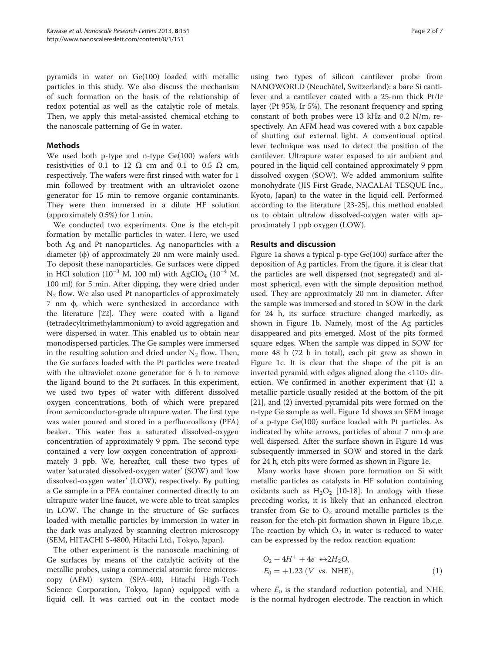pyramids in water on Ge(100) loaded with metallic particles in this study. We also discuss the mechanism of such formation on the basis of the relationship of redox potential as well as the catalytic role of metals. Then, we apply this metal-assisted chemical etching to the nanoscale patterning of Ge in water.

## Methods

We used both p-type and n-type Ge(100) wafers with resistivities of 0.1 to 12  $\Omega$  cm and 0.1 to 0.5  $\Omega$  cm, respectively. The wafers were first rinsed with water for 1 min followed by treatment with an ultraviolet ozone generator for 15 min to remove organic contaminants. They were then immersed in a dilute HF solution (approximately 0.5%) for 1 min.

We conducted two experiments. One is the etch-pit formation by metallic particles in water. Here, we used both Ag and Pt nanoparticles. Ag nanoparticles with a diameter (ϕ) of approximately 20 nm were mainly used. To deposit these nanoparticles, Ge surfaces were dipped in HCl solution (10<sup>-3</sup> M, 100 ml) with AgClO<sub>4</sub> (10<sup>-4</sup> M, 100 ml) for 5 min. After dipping, they were dried under  $N_2$  flow. We also used Pt nanoparticles of approximately 7 nm ϕ, which were synthesized in accordance with the literature [[22\]](#page-6-0). They were coated with a ligand (tetradecyltrimethylammonium) to avoid aggregation and were dispersed in water. This enabled us to obtain near monodispersed particles. The Ge samples were immersed in the resulting solution and dried under  $N_2$  flow. Then, the Ge surfaces loaded with the Pt particles were treated with the ultraviolet ozone generator for 6 h to remove the ligand bound to the Pt surfaces. In this experiment, we used two types of water with different dissolved oxygen concentrations, both of which were prepared from semiconductor-grade ultrapure water. The first type was water poured and stored in a perfluoroalkoxy (PFA) beaker. This water has a saturated dissolved-oxygen concentration of approximately 9 ppm. The second type contained a very low oxygen concentration of approximately 3 ppb. We, hereafter, call these two types of water 'saturated dissolved-oxygen water' (SOW) and 'low dissolved-oxygen water' (LOW), respectively. By putting a Ge sample in a PFA container connected directly to an ultrapure water line faucet, we were able to treat samples in LOW. The change in the structure of Ge surfaces loaded with metallic particles by immersion in water in the dark was analyzed by scanning electron microscopy (SEM, HITACHI S-4800, Hitachi Ltd., Tokyo, Japan).

The other experiment is the nanoscale machining of Ge surfaces by means of the catalytic activity of the metallic probes, using a commercial atomic force microscopy (AFM) system (SPA-400, Hitachi High-Tech Science Corporation, Tokyo, Japan) equipped with a liquid cell. It was carried out in the contact mode

using two types of silicon cantilever probe from NANOWORLD (Neuchâtel, Switzerland): a bare Si cantilever and a cantilever coated with a 25-nm thick Pt/Ir layer (Pt 95%, Ir 5%). The resonant frequency and spring constant of both probes were 13 kHz and 0.2 N/m, respectively. An AFM head was covered with a box capable of shutting out external light. A conventional optical lever technique was used to detect the position of the cantilever. Ultrapure water exposed to air ambient and poured in the liquid cell contained approximately 9 ppm dissolved oxygen (SOW). We added ammonium sulfite monohydrate (JIS First Grade, NACALAI TESQUE Inc., Kyoto, Japan) to the water in the liquid cell. Performed according to the literature [\[23-25](#page-6-0)], this method enabled us to obtain ultralow dissolved-oxygen water with approximately 1 ppb oxygen (LOW).

### Results and discussion

Figure [1](#page-2-0)a shows a typical p-type Ge(100) surface after the deposition of Ag particles. From the figure, it is clear that the particles are well dispersed (not segregated) and almost spherical, even with the simple deposition method used. They are approximately 20 nm in diameter. After the sample was immersed and stored in SOW in the dark for 24 h, its surface structure changed markedly, as shown in Figure [1b](#page-2-0). Namely, most of the Ag particles disappeared and pits emerged. Most of the pits formed square edges. When the sample was dipped in SOW for more 48 h (72 h in total), each pit grew as shown in Figure [1c](#page-2-0). It is clear that the shape of the pit is an inverted pyramid with edges aligned along the <110> direction. We confirmed in another experiment that (1) a metallic particle usually resided at the bottom of the pit [[21\]](#page-6-0), and (2) inverted pyramidal pits were formed on the n-type Ge sample as well. Figure [1](#page-2-0)d shows an SEM image of a p-type Ge(100) surface loaded with Pt particles. As indicated by white arrows, particles of about  $7 \text{ nm} \phi$  are well dispersed. After the surface shown in Figure [1](#page-2-0)d was subsequently immersed in SOW and stored in the dark for 24 h, etch pits were formed as shown in Figure [1](#page-2-0)e.

Many works have shown pore formation on Si with metallic particles as catalysts in HF solution containing oxidants such as  $H_2O_2$  [[10-18](#page-6-0)]. In analogy with these preceding works, it is likely that an enhanced electron transfer from Ge to  $O_2$  around metallic particles is the reason for the etch-pit formation shown in Figure [1](#page-2-0)b,c,e. The reaction by which  $O_2$  in water is reduced to water can be expressed by the redox reaction equation:

$$
O_2 + 4H^+ + 4e^- \leftrightarrow 2H_2O,E_0 = +1.23 (V vs. NHE),
$$
 (1)

where  $E_0$  is the standard reduction potential, and NHE is the normal hydrogen electrode. The reaction in which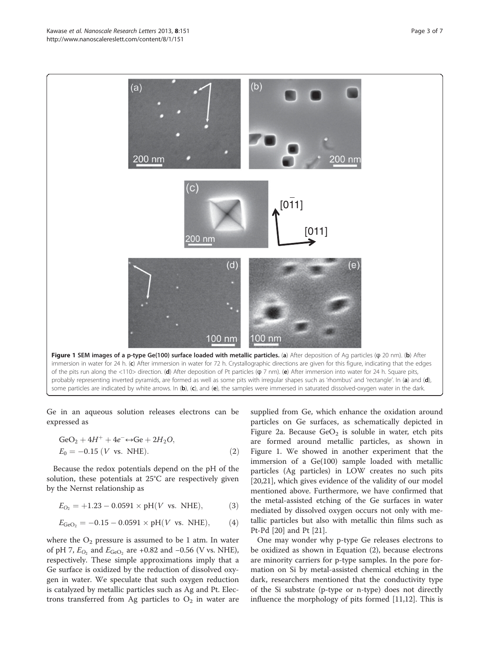Ge in an aqueous solution releases electrons can be expressed as

$$
GeO2 + 4H+ + 4e- \leftrightarrow Ge + 2H2O,E0 = -0.15 (V vs. NHE).
$$
 (2)

Because the redox potentials depend on the pH of the solution, these potentials at 25°C are respectively given by the Nernst relationship as

$$
E_{O_2} = +1.23 - 0.0591 \times pH(V \text{ vs. NHE}), \tag{3}
$$

$$
E_{\text{GeO}_2} = -0.15 - 0.0591 \times pH(V \text{ vs. NHE}), \tag{4}
$$

where the  $O_2$  pressure is assumed to be 1 atm. In water of pH 7,  $E_{O_2}$  and  $E_{\text{GeO}_2}$  are +0.82 and −0.56 (V vs. NHE), respectively. These simple approximations imply that a Ge surface is oxidized by the reduction of dissolved oxygen in water. We speculate that such oxygen reduction is catalyzed by metallic particles such as Ag and Pt. Electrons transferred from Ag particles to  $O_2$  in water are

supplied from Ge, which enhance the oxidation around particles on Ge surfaces, as schematically depicted in Figure [2](#page-3-0)a. Because  $\text{GeO}_2$  is soluble in water, etch pits are formed around metallic particles, as shown in Figure 1. We showed in another experiment that the immersion of a Ge(100) sample loaded with metallic particles (Ag particles) in LOW creates no such pits [[20,21\]](#page-6-0), which gives evidence of the validity of our model mentioned above. Furthermore, we have confirmed that the metal-assisted etching of the Ge surfaces in water mediated by dissolved oxygen occurs not only with metallic particles but also with metallic thin films such as Pt-Pd [[20](#page-6-0)] and Pt [\[21](#page-6-0)].

One may wonder why p-type Ge releases electrons to be oxidized as shown in Equation (2), because electrons are minority carriers for p-type samples. In the pore formation on Si by metal-assisted chemical etching in the dark, researchers mentioned that the conductivity type of the Si substrate (p-type or n-type) does not directly influence the morphology of pits formed [\[11,12\]](#page-6-0). This is



<span id="page-2-0"></span>Kawase et al. Nanoscale Research Letters 2013, 8:151 Page 3 of 7 http://www.nanoscalereslett.com/content/8/1/151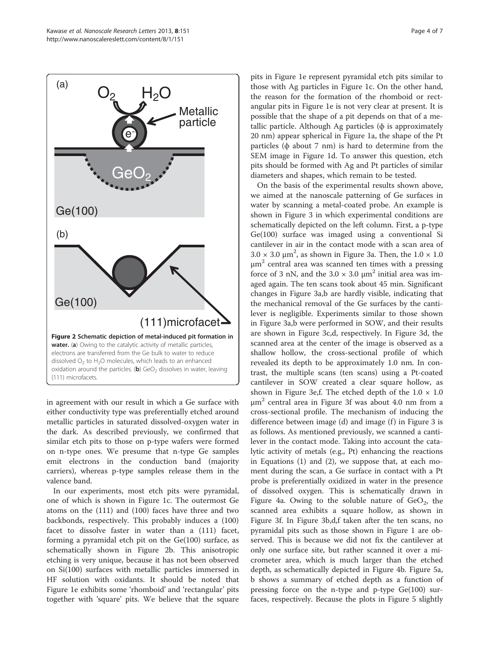<span id="page-3-0"></span>

in agreement with our result in which a Ge surface with either conductivity type was preferentially etched around metallic particles in saturated dissolved-oxygen water in the dark. As described previously, we confirmed that similar etch pits to those on p-type wafers were formed on n-type ones. We presume that n-type Ge samples emit electrons in the conduction band (majority carriers), whereas p-type samples release them in the valence band.

In our experiments, most etch pits were pyramidal, one of which is shown in Figure [1c](#page-2-0). The outermost Ge atoms on the (111) and (100) faces have three and two backbonds, respectively. This probably induces a (100) facet to dissolve faster in water than a (111) facet, forming a pyramidal etch pit on the  $Ge(100)$  surface, as schematically shown in Figure 2b. This anisotropic etching is very unique, because it has not been observed on Si(100) surfaces with metallic particles immersed in HF solution with oxidants. It should be noted that Figure [1](#page-2-0)e exhibits some 'rhomboid' and 'rectangular' pits together with 'square' pits. We believe that the square

pits in Figure [1e](#page-2-0) represent pyramidal etch pits similar to those with Ag particles in Figure [1c](#page-2-0). On the other hand, the reason for the formation of the rhomboid or rectangular pits in Figure [1e](#page-2-0) is not very clear at present. It is possible that the shape of a pit depends on that of a metallic particle. Although Ag particles  $(\phi)$  is approximately 20 nm) appear spherical in Figure [1](#page-2-0)a, the shape of the Pt particles ( $\phi$  about 7 nm) is hard to determine from the SEM image in Figure [1d](#page-2-0). To answer this question, etch pits should be formed with Ag and Pt particles of similar diameters and shapes, which remain to be tested.

On the basis of the experimental results shown above, we aimed at the nanoscale patterning of Ge surfaces in water by scanning a metal-coated probe. An example is shown in Figure [3](#page-4-0) in which experimental conditions are schematically depicted on the left column. First, a p-type Ge(100) surface was imaged using a conventional Si cantilever in air in the contact mode with a scan area of  $3.0 \times 3.0 \text{ }\mu\text{m}^2$ , as shown in Figure [3a](#page-4-0). Then, the  $1.0 \times 1.0 \text{ m}^2$ μm<sup>2</sup> central area was scanned ten times with a pressing force of 3 nN, and the  $3.0 \times 3.0 \text{ }\mu\text{m}^2$  initial area was imaged again. The ten scans took about 45 min. Significant changes in Figure [3a](#page-4-0),b are hardly visible, indicating that the mechanical removal of the Ge surfaces by the cantilever is negligible. Experiments similar to those shown in Figure [3a](#page-4-0),b were performed in SOW, and their results are shown in Figure [3c](#page-4-0),d, respectively. In Figure [3d](#page-4-0), the scanned area at the center of the image is observed as a shallow hollow, the cross-sectional profile of which revealed its depth to be approximately 1.0 nm. In contrast, the multiple scans (ten scans) using a Pt-coated cantilever in SOW created a clear square hollow, as shown in Figure [3e](#page-4-0),f. The etched depth of the  $1.0 \times 1.0$  $\mu$ m<sup>2</sup> central area in Figure [3f](#page-4-0) was about 4.0 nm from a cross-sectional profile. The mechanism of inducing the difference between image  $(d)$  and image  $(f)$  in Figure [3](#page-4-0) is as follows. As mentioned previously, we scanned a cantilever in the contact mode. Taking into account the catalytic activity of metals (e.g., Pt) enhancing the reactions in Equations (1) and (2), we suppose that, at each moment during the scan, a Ge surface in contact with a Pt probe is preferentially oxidized in water in the presence of dissolved oxygen. This is schematically drawn in Figure [4a](#page-5-0). Owing to the soluble nature of  $\text{GeO}_2$ , the scanned area exhibits a square hollow, as shown in Figure [3](#page-4-0)f. In Figure [3b](#page-4-0),d,f taken after the ten scans, no pyramidal pits such as those shown in Figure [1](#page-2-0) are observed. This is because we did not fix the cantilever at only one surface site, but rather scanned it over a micrometer area, which is much larger than the etched depth, as schematically depicted in Figure [4b](#page-5-0). Figure [5a](#page-5-0), b shows a summary of etched depth as a function of pressing force on the n-type and p-type Ge(100) surfaces, respectively. Because the plots in Figure [5](#page-5-0) slightly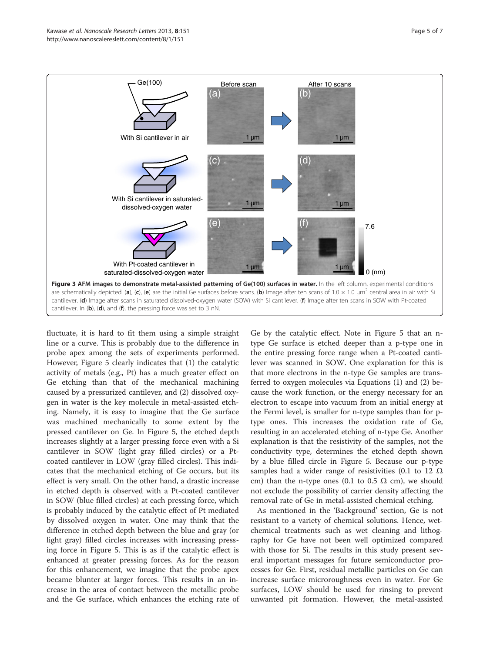<span id="page-4-0"></span>

fluctuate, it is hard to fit them using a simple straight line or a curve. This is probably due to the difference in probe apex among the sets of experiments performed. However, Figure [5](#page-5-0) clearly indicates that (1) the catalytic activity of metals (e.g., Pt) has a much greater effect on Ge etching than that of the mechanical machining caused by a pressurized cantilever, and (2) dissolved oxygen in water is the key molecule in metal-assisted etching. Namely, it is easy to imagine that the Ge surface was machined mechanically to some extent by the pressed cantilever on Ge. In Figure [5,](#page-5-0) the etched depth increases slightly at a larger pressing force even with a Si cantilever in SOW (light gray filled circles) or a Ptcoated cantilever in LOW (gray filled circles). This indicates that the mechanical etching of Ge occurs, but its effect is very small. On the other hand, a drastic increase in etched depth is observed with a Pt-coated cantilever in SOW (blue filled circles) at each pressing force, which is probably induced by the catalytic effect of Pt mediated by dissolved oxygen in water. One may think that the difference in etched depth between the blue and gray (or light gray) filled circles increases with increasing pressing force in Figure [5](#page-5-0). This is as if the catalytic effect is enhanced at greater pressing forces. As for the reason for this enhancement, we imagine that the probe apex became blunter at larger forces. This results in an increase in the area of contact between the metallic probe and the Ge surface, which enhances the etching rate of Ge by the catalytic effect. Note in Figure [5](#page-5-0) that an ntype Ge surface is etched deeper than a p-type one in the entire pressing force range when a Pt-coated cantilever was scanned in SOW. One explanation for this is that more electrons in the n-type Ge samples are transferred to oxygen molecules via Equations (1) and (2) because the work function, or the energy necessary for an electron to escape into vacuum from an initial energy at the Fermi level, is smaller for n-type samples than for ptype ones. This increases the oxidation rate of Ge, resulting in an accelerated etching of n-type Ge. Another explanation is that the resistivity of the samples, not the conductivity type, determines the etched depth shown by a blue filled circle in Figure [5.](#page-5-0) Because our p-type samples had a wider range of resistivities (0.1 to 12  $\Omega$ ) cm) than the n-type ones (0.1 to 0.5  $\Omega$  cm), we should not exclude the possibility of carrier density affecting the removal rate of Ge in metal-assisted chemical etching.

As mentioned in the '[Background](#page-0-0)' section, Ge is not resistant to a variety of chemical solutions. Hence, wetchemical treatments such as wet cleaning and lithography for Ge have not been well optimized compared with those for Si. The results in this study present several important messages for future semiconductor processes for Ge. First, residual metallic particles on Ge can increase surface microroughness even in water. For Ge surfaces, LOW should be used for rinsing to prevent unwanted pit formation. However, the metal-assisted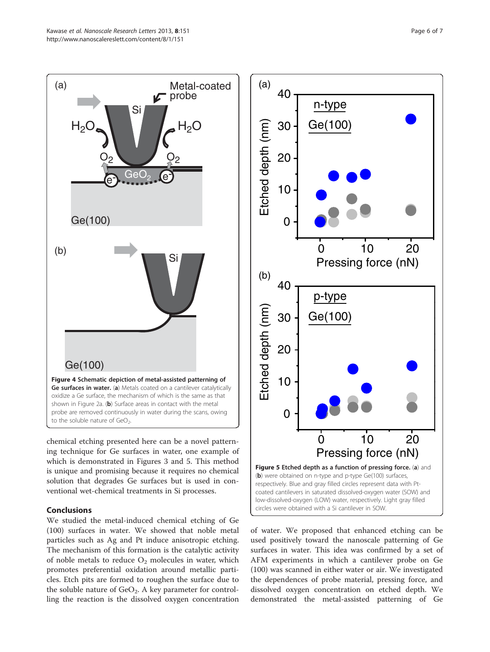<span id="page-5-0"></span>

chemical etching presented here can be a novel patterning technique for Ge surfaces in water, one example of which is demonstrated in Figures [3](#page-4-0) and 5. This method is unique and promising because it requires no chemical solution that degrades Ge surfaces but is used in conventional wet-chemical treatments in Si processes.

## Conclusions

We studied the metal-induced chemical etching of Ge (100) surfaces in water. We showed that noble metal particles such as Ag and Pt induce anisotropic etching. The mechanism of this formation is the catalytic activity of noble metals to reduce  $O_2$  molecules in water, which promotes preferential oxidation around metallic particles. Etch pits are formed to roughen the surface due to the soluble nature of  $GeO<sub>2</sub>$ . A key parameter for controlling the reaction is the dissolved oxygen concentration



of water. We proposed that enhanced etching can be used positively toward the nanoscale patterning of Ge surfaces in water. This idea was confirmed by a set of AFM experiments in which a cantilever probe on Ge (100) was scanned in either water or air. We investigated the dependences of probe material, pressing force, and dissolved oxygen concentration on etched depth. We demonstrated the metal-assisted patterning of Ge